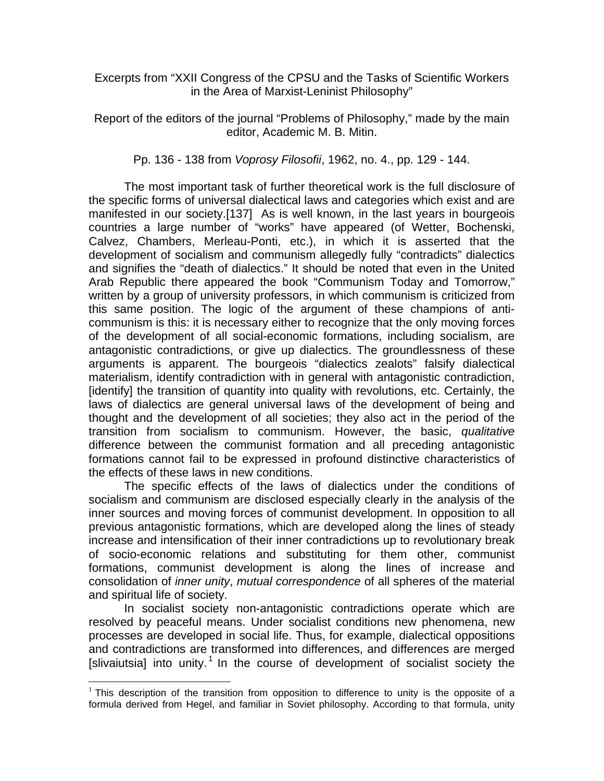Excerpts from "XXII Congress of the CPSU and the Tasks of Scientific Workers in the Area of Marxist-Leninist Philosophy"

Report of the editors of the journal "Problems of Philosophy," made by the main editor, Academic M. B. Mitin.

Pp. 136 - 138 from *Voprosy Filosofii*, 1962, no. 4., pp. 129 - 144.

 The most important task of further theoretical work is the full disclosure of the specific forms of universal dialectical laws and categories which exist and are manifested in our society.[137] As is well known, in the last years in bourgeois countries a large number of "works" have appeared (of Wetter, Bochenski, Calvez, Chambers, Merleau-Ponti, etc.), in which it is asserted that the development of socialism and communism allegedly fully "contradicts" dialectics and signifies the "death of dialectics." It should be noted that even in the United Arab Republic there appeared the book "Communism Today and Tomorrow," written by a group of university professors, in which communism is criticized from this same position. The logic of the argument of these champions of anticommunism is this: it is necessary either to recognize that the only moving forces of the development of all social-economic formations, including socialism, are antagonistic contradictions, or give up dialectics. The groundlessness of these arguments is apparent. The bourgeois "dialectics zealots" falsify dialectical materialism, identify contradiction with in general with antagonistic contradiction, [identify] the transition of quantity into quality with revolutions, etc. Certainly, the laws of dialectics are general universal laws of the development of being and thought and the development of all societies; they also act in the period of the transition from socialism to communism. However, the basic, *qualitative* difference between the communist formation and all preceding antagonistic formations cannot fail to be expressed in profound distinctive characteristics of the effects of these laws in new conditions.

 The specific effects of the laws of dialectics under the conditions of socialism and communism are disclosed especially clearly in the analysis of the inner sources and moving forces of communist development. In opposition to all previous antagonistic formations, which are developed along the lines of steady increase and intensification of their inner contradictions up to revolutionary break of socio-economic relations and substituting for them other, communist formations, communist development is along the lines of increase and consolidation of *inner unity*, *mutual correspondence* of all spheres of the material and spiritual life of society.

 In socialist society non-antagonistic contradictions operate which are resolved by peaceful means. Under socialist conditions new phenomena, new processes are developed in social life. Thus, for example, dialectical oppositions and contradictions are transformed into differences, and differences are merged [slivaiutsia] into unity.<sup>1</sup> In the course of development of socialist society the

1

 $1$  This description of the transition from opposition to difference to unity is the opposite of a formula derived from Hegel, and familiar in Soviet philosophy. According to that formula, unity